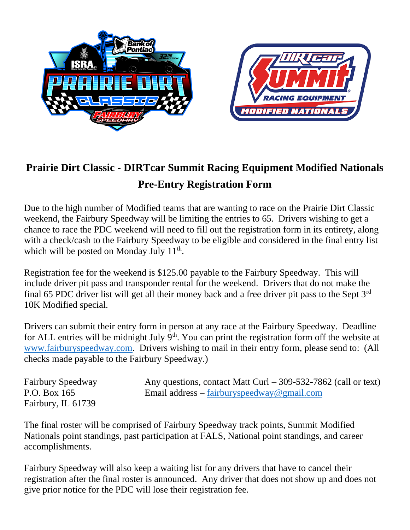

## **Prairie Dirt Classic - DIRTcar Summit Racing Equipment Modified Nationals Pre-Entry Registration Form**

Due to the high number of Modified teams that are wanting to race on the Prairie Dirt Classic weekend, the Fairbury Speedway will be limiting the entries to 65. Drivers wishing to get a chance to race the PDC weekend will need to fill out the registration form in its entirety, along with a check/cash to the Fairbury Speedway to be eligible and considered in the final entry list which will be posted on Monday July  $11<sup>th</sup>$ .

Registration fee for the weekend is \$125.00 payable to the Fairbury Speedway. This will include driver pit pass and transponder rental for the weekend. Drivers that do not make the final 65 PDC driver list will get all their money back and a free driver pit pass to the Sept 3rd 10K Modified special.

Drivers can submit their entry form in person at any race at the Fairbury Speedway. Deadline for ALL entries will be midnight July  $9<sup>th</sup>$ . You can print the registration form off the website at [www.fairburyspeedway.com.](http://www.fairburyspeedway.com/) Drivers wishing to mail in their entry form, please send to: (All checks made payable to the Fairbury Speedway.)

| <b>Fairbury Speedway</b> | Any questions, contact Matt Curl $-$ 309-532-7862 (call or text) |
|--------------------------|------------------------------------------------------------------|
| P.O. Box 165             | Email address – fairburyspeedway@gmail.com                       |
| Fairbury, IL 61739       |                                                                  |

The final roster will be comprised of Fairbury Speedway track points, Summit Modified Nationals point standings, past participation at FALS, National point standings, and career accomplishments.

Fairbury Speedway will also keep a waiting list for any drivers that have to cancel their registration after the final roster is announced. Any driver that does not show up and does not give prior notice for the PDC will lose their registration fee.